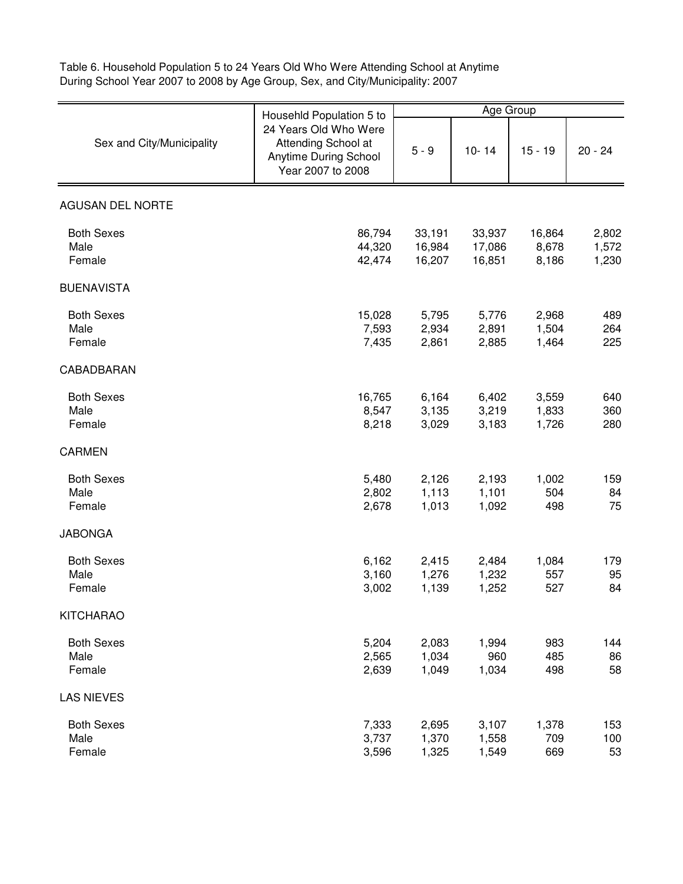Table 6. Household Population 5 to 24 Years Old Who Were Attending School at Anytime During School Year 2007 to 2008 by Age Group, Sex, and City/Municipality: 2007

| Sex and City/Municipality           | Househld Population 5 to<br>24 Years Old Who Were<br>Attending School at<br>Anytime During School<br>Year 2007 to 2008 | Age Group                  |                            |                          |                         |
|-------------------------------------|------------------------------------------------------------------------------------------------------------------------|----------------------------|----------------------------|--------------------------|-------------------------|
|                                     |                                                                                                                        | $5 - 9$                    | $10 - 14$                  | $15 - 19$                | $20 - 24$               |
| <b>AGUSAN DEL NORTE</b>             |                                                                                                                        |                            |                            |                          |                         |
| <b>Both Sexes</b><br>Male<br>Female | 86,794<br>44,320<br>42,474                                                                                             | 33,191<br>16,984<br>16,207 | 33,937<br>17,086<br>16,851 | 16,864<br>8,678<br>8,186 | 2,802<br>1,572<br>1,230 |
| <b>BUENAVISTA</b>                   |                                                                                                                        |                            |                            |                          |                         |
| <b>Both Sexes</b><br>Male<br>Female | 15,028<br>7,593<br>7,435                                                                                               | 5,795<br>2,934<br>2,861    | 5,776<br>2,891<br>2,885    | 2,968<br>1,504<br>1,464  | 489<br>264<br>225       |
| CABADBARAN                          |                                                                                                                        |                            |                            |                          |                         |
| <b>Both Sexes</b><br>Male<br>Female | 16,765<br>8,547<br>8,218                                                                                               | 6,164<br>3,135<br>3,029    | 6,402<br>3,219<br>3,183    | 3,559<br>1,833<br>1,726  | 640<br>360<br>280       |
| <b>CARMEN</b>                       |                                                                                                                        |                            |                            |                          |                         |
| <b>Both Sexes</b><br>Male<br>Female | 5,480<br>2,802<br>2,678                                                                                                | 2,126<br>1,113<br>1,013    | 2,193<br>1,101<br>1,092    | 1,002<br>504<br>498      | 159<br>84<br>75         |
| <b>JABONGA</b>                      |                                                                                                                        |                            |                            |                          |                         |
| <b>Both Sexes</b><br>Male<br>Female | 6,162<br>3,160<br>3,002                                                                                                | 2,415<br>1,276<br>1,139    | 2,484<br>1,232<br>1,252    | 1,084<br>557<br>527      | 179<br>95<br>84         |
| <b>KITCHARAO</b>                    |                                                                                                                        |                            |                            |                          |                         |
| <b>Both Sexes</b><br>Male<br>Female | 5,204<br>2,565<br>2,639                                                                                                | 2,083<br>1,034<br>1,049    | 1,994<br>960<br>1,034      | 983<br>485<br>498        | 144<br>86<br>58         |
| <b>LAS NIEVES</b>                   |                                                                                                                        |                            |                            |                          |                         |
| <b>Both Sexes</b><br>Male<br>Female | 7,333<br>3,737<br>3,596                                                                                                | 2,695<br>1,370<br>1,325    | 3,107<br>1,558<br>1,549    | 1,378<br>709<br>669      | 153<br>100<br>53        |